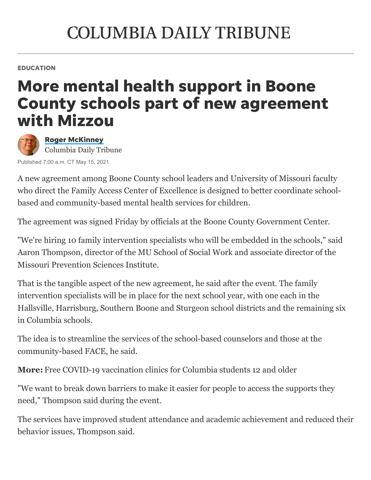## **COLUMBIA DAILY TRIBUNE**

EDUCATION

## More mental health support in Boone County schools part of new agreement with Mizzou



Roger [McKinney](https://www.columbiatribune.com/staff/3506680001/roger-mckinney/) Columbia Daily Tribune

Published 7:00 a.m. CT May 15, 2021

A new agreement among Boone County school leaders and University of Missouri faculty who direct the [Family Access Center of Excellence](https://www.columbiatribune.com/news/20191211/face-connects-families-with-services) is designed to better coordinate schoolbased and community-based mental health services for children.

The agreement was signed Friday by officials at the Boone County Government Center.

"We're hiring 10 family intervention specialists who will be embedded in the schools," said Aaron Thompson, director of the MU School of Social Work and associate director of the Missouri Prevention Sciences Institute.

That is the tangible aspect of the new agreement, he said after the event. The family intervention specialists will be in place for the next school year, with one each in the Hallsville, Harrisburg, Southern Boone and Sturgeon school districts and the remaining six in Columbia schools.

The idea is to streamline the services of the school-based counselors and those at the [community-based FACE](https://www.columbiatribune.com/609772fa-9a3a-59e6-96ba-b3a1e42b33e5.html), he said.

**More:** [Free COVID-19 vaccination clinics for Columbia students 12 and older](https://www.columbiatribune.com/story/news/education/2021/05/14/free-covid-19-vaccination-clinics-columbia-students-12-and-older/5097428001/)

"We want to break down barriers to make it easier for people to access the supports they need," Thompson said during the event.

The services have improved student attendance and academic achievement and reduced their behavior issues, Thompson said.